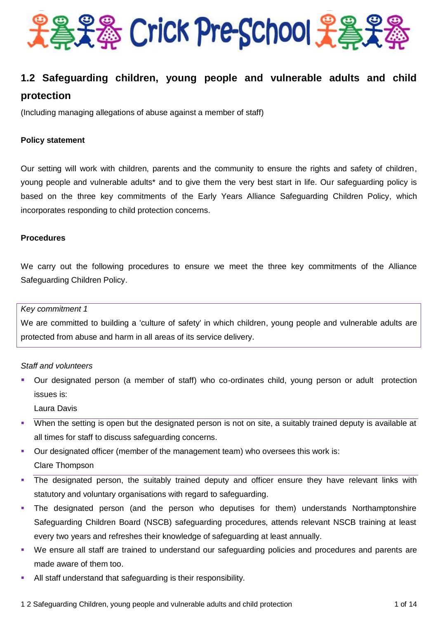

### **1.2 Safeguarding children, young people and vulnerable adults and child protection**

(Including managing allegations of abuse against a member of staff)

#### **Policy statement**

Our setting will work with children, parents and the community to ensure the rights and safety of children, young people and vulnerable adults\* and to give them the very best start in life. Our safeguarding policy is based on the three key commitments of the Early Years Alliance Safeguarding Children Policy, which incorporates responding to child protection concerns.

#### **Procedures**

We carry out the following procedures to ensure we meet the three key commitments of the Alliance Safeguarding Children Policy.

#### *Key commitment 1*

We are committed to building a 'culture of safety' in which children, young people and vulnerable adults are protected from abuse and harm in all areas of its service delivery.

#### *Staff and volunteers*

 Our designated person (a member of staff) who co-ordinates child, young person or adult protection issues is:

Laura Davis

- When the setting is open but the designated person is not on site, a suitably trained deputy is available at all times for staff to discuss safeguarding concerns.
- Our designated officer (member of the management team) who oversees this work is: Clare Thompson
- The designated person, the suitably trained deputy and officer ensure they have relevant links with statutory and voluntary organisations with regard to safeguarding.
- The designated person (and the person who deputises for them) understands Northamptonshire Safeguarding Children Board (NSCB) safeguarding procedures, attends relevant NSCB training at least every two years and refreshes their knowledge of safeguarding at least annually.
- We ensure all staff are trained to understand our safeguarding policies and procedures and parents are made aware of them too.
- All staff understand that safeguarding is their responsibility.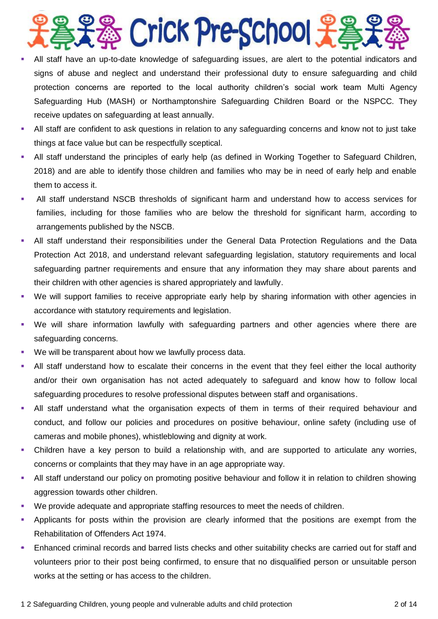

- All staff have an up-to-date knowledge of safeguarding issues, are alert to the potential indicators and signs of abuse and neglect and understand their professional duty to ensure safeguarding and child protection concerns are reported to the local authority children's social work team Multi Agency Safeguarding Hub (MASH) or Northamptonshire Safeguarding Children Board or the NSPCC. They receive updates on safeguarding at least annually.
- All staff are confident to ask questions in relation to any safeguarding concerns and know not to just take things at face value but can be respectfully sceptical.
- All staff understand the principles of early help (as defined in Working Together to Safeguard Children, 2018) and are able to identify those children and families who may be in need of early help and enable them to access it.
- All staff understand NSCB thresholds of significant harm and understand how to access services for families, including for those families who are below the threshold for significant harm, according to arrangements published by the NSCB.
- All staff understand their responsibilities under the General Data Protection Regulations and the Data Protection Act 2018, and understand relevant safeguarding legislation, statutory requirements and local safeguarding partner requirements and ensure that any information they may share about parents and their children with other agencies is shared appropriately and lawfully.
- We will support families to receive appropriate early help by sharing information with other agencies in accordance with statutory requirements and legislation.
- We will share information lawfully with safeguarding partners and other agencies where there are safeguarding concerns.
- We will be transparent about how we lawfully process data.
- All staff understand how to escalate their concerns in the event that they feel either the local authority and/or their own organisation has not acted adequately to safeguard and know how to follow local safeguarding procedures to resolve professional disputes between staff and organisations.
- All staff understand what the organisation expects of them in terms of their required behaviour and conduct, and follow our policies and procedures on positive behaviour, online safety (including use of cameras and mobile phones), whistleblowing and dignity at work.
- Children have a key person to build a relationship with, and are supported to articulate any worries, concerns or complaints that they may have in an age appropriate way.
- All staff understand our policy on promoting positive behaviour and follow it in relation to children showing aggression towards other children.
- We provide adequate and appropriate staffing resources to meet the needs of children.
- Applicants for posts within the provision are clearly informed that the positions are exempt from the Rehabilitation of Offenders Act 1974.
- Enhanced criminal records and barred lists checks and other suitability checks are carried out for staff and volunteers prior to their post being confirmed, to ensure that no disqualified person or unsuitable person works at the setting or has access to the children.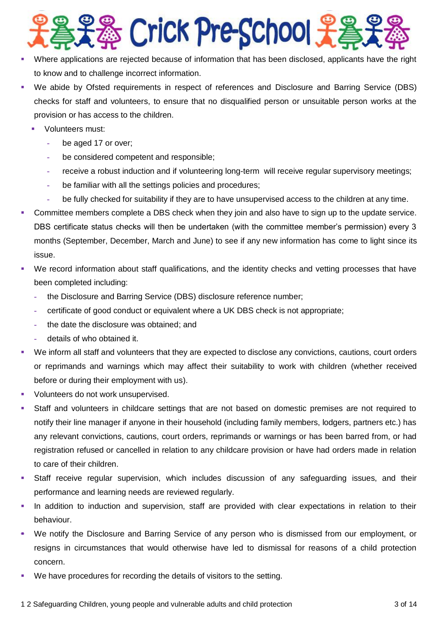

- Where applications are rejected because of information that has been disclosed, applicants have the right to know and to challenge incorrect information.
- We abide by Ofsted requirements in respect of references and Disclosure and Barring Service (DBS) checks for staff and volunteers, to ensure that no disqualified person or unsuitable person works at the provision or has access to the children.
	- **Volunteers must:** 
		- **-** be aged 17 or over;
		- **-** be considered competent and responsible;
		- **-** receive a robust induction and if volunteering long-term will receive regular supervisory meetings;
		- **-** be familiar with all the settings policies and procedures;
		- **-** be fully checked for suitability if they are to have unsupervised access to the children at any time.
- Committee members complete a DBS check when they join and also have to sign up to the update service. DBS certificate status checks will then be undertaken (with the committee member's permission) every 3 months (September, December, March and June) to see if any new information has come to light since its issue.
- We record information about staff qualifications, and the identity checks and vetting processes that have been completed including:
	- **-** the Disclosure and Barring Service (DBS) disclosure reference number;
	- **-** certificate of good conduct or equivalent where a UK DBS check is not appropriate;
	- **-** the date the disclosure was obtained; and
	- **-** details of who obtained it.
- We inform all staff and volunteers that they are expected to disclose any convictions, cautions, court orders or reprimands and warnings which may affect their suitability to work with children (whether received before or during their employment with us).
- Volunteers do not work unsupervised.
- Staff and volunteers in childcare settings that are not based on domestic premises are not required to notify their line manager if anyone in their household (including family members, lodgers, partners etc.) has any relevant convictions, cautions, court orders, reprimands or warnings or has been barred from, or had registration refused or cancelled in relation to any childcare provision or have had orders made in relation to care of their children.
- Staff receive regular supervision, which includes discussion of any safeguarding issues, and their performance and learning needs are reviewed regularly.
- In addition to induction and supervision, staff are provided with clear expectations in relation to their behaviour.
- We notify the Disclosure and Barring Service of any person who is dismissed from our employment, or resigns in circumstances that would otherwise have led to dismissal for reasons of a child protection concern.
- We have procedures for recording the details of visitors to the setting.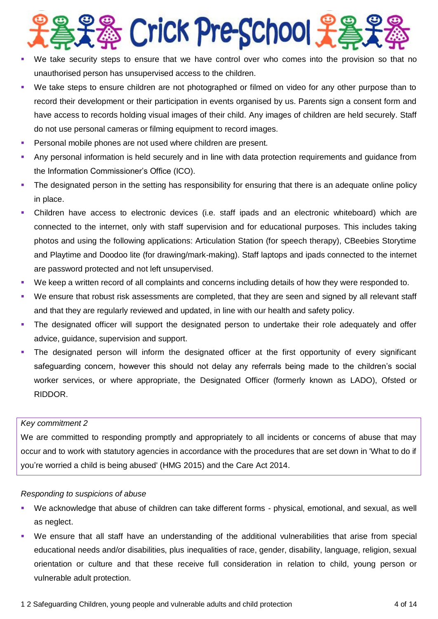

- We take security steps to ensure that we have control over who comes into the provision so that no unauthorised person has unsupervised access to the children.
- We take steps to ensure children are not photographed or filmed on video for any other purpose than to record their development or their participation in events organised by us. Parents sign a consent form and have access to records holding visual images of their child. Any images of children are held securely. Staff do not use personal cameras or filming equipment to record images.
- **Personal mobile phones are not used where children are present.**
- Any personal information is held securely and in line with data protection requirements and guidance from the Information Commissioner's Office (ICO).
- The designated person in the setting has responsibility for ensuring that there is an adequate online policy in place.
- Children have access to electronic devices (i.e. staff ipads and an electronic whiteboard) which are connected to the internet, only with staff supervision and for educational purposes. This includes taking photos and using the following applications: Articulation Station (for speech therapy), CBeebies Storytime and Playtime and Doodoo lite (for drawing/mark-making). Staff laptops and ipads connected to the internet are password protected and not left unsupervised.
- We keep a written record of all complaints and concerns including details of how they were responded to.
- We ensure that robust risk assessments are completed, that they are seen and signed by all relevant staff and that they are regularly reviewed and updated, in line with our health and safety policy.
- The designated officer will support the designated person to undertake their role adequately and offer advice, guidance, supervision and support.
- The designated person will inform the designated officer at the first opportunity of every significant safeguarding concern, however this should not delay any referrals being made to the children's social worker services, or where appropriate, the Designated Officer (formerly known as LADO), Ofsted or RIDDOR.

#### *Key commitment 2*

We are committed to responding promptly and appropriately to all incidents or concerns of abuse that may occur and to work with statutory agencies in accordance with the procedures that are set down in 'What to do if you're worried a child is being abused' (HMG 2015) and the Care Act 2014.

#### *Responding to suspicions of abuse*

- We acknowledge that abuse of children can take different forms physical, emotional, and sexual, as well as neglect.
- We ensure that all staff have an understanding of the additional vulnerabilities that arise from special educational needs and/or disabilities, plus inequalities of race, gender, disability, language, religion, sexual orientation or culture and that these receive full consideration in relation to child, young person or vulnerable adult protection.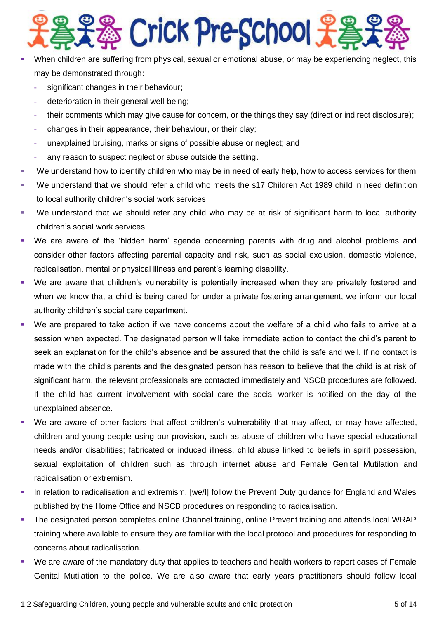

- When children are suffering from physical, sexual or emotional abuse, or may be experiencing neglect, this may be demonstrated through:
	- **-** significant changes in their behaviour;
	- **-** deterioration in their general well-being;
	- **-** their comments which may give cause for concern, or the things they say (direct or indirect disclosure);
	- **-** changes in their appearance, their behaviour, or their play;
	- **-** unexplained bruising, marks or signs of possible abuse or neglect; and
	- **-** any reason to suspect neglect or abuse outside the setting.
- We understand how to identify children who may be in need of early help, how to access services for them
- We understand that we should refer a child who meets the s17 Children Act 1989 child in need definition to local authority children's social work services
- We understand that we should refer any child who may be at risk of significant harm to local authority children's social work services.
- We are aware of the 'hidden harm' agenda concerning parents with drug and alcohol problems and consider other factors affecting parental capacity and risk, such as social exclusion, domestic violence, radicalisation, mental or physical illness and parent's learning disability.
- We are aware that children's vulnerability is potentially increased when they are privately fostered and when we know that a child is being cared for under a private fostering arrangement, we inform our local authority children's social care department.
- We are prepared to take action if we have concerns about the welfare of a child who fails to arrive at a session when expected. The designated person will take immediate action to contact the child's parent to seek an explanation for the child's absence and be assured that the child is safe and well. If no contact is made with the child's parents and the designated person has reason to believe that the child is at risk of significant harm, the relevant professionals are contacted immediately and NSCB procedures are followed. If the child has current involvement with social care the social worker is notified on the day of the unexplained absence.
- We are aware of other factors that affect children's vulnerability that may affect, or may have affected, children and young people using our provision, such as abuse of children who have special educational needs and/or disabilities; fabricated or induced illness, child abuse linked to beliefs in spirit possession, sexual exploitation of children such as through internet abuse and Female Genital Mutilation and radicalisation or extremism.
- In relation to radicalisation and extremism, [we/I] follow the Prevent Duty guidance for England and Wales published by the Home Office and NSCB procedures on responding to radicalisation.
- The designated person completes online Channel training, online Prevent training and attends local WRAP training where available to ensure they are familiar with the local protocol and procedures for responding to concerns about radicalisation.
- We are aware of the mandatory duty that applies to teachers and health workers to report cases of Female Genital Mutilation to the police. We are also aware that early years practitioners should follow local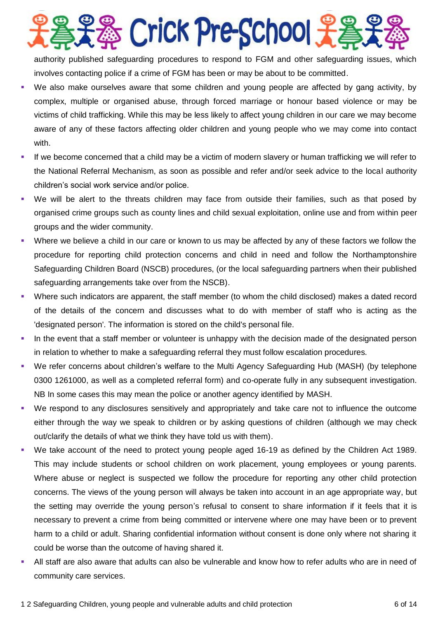**& Crick Pre-School 光名** 

authority published safeguarding procedures to respond to FGM and other safeguarding issues, which involves contacting police if a crime of FGM has been or may be about to be committed.

- We also make ourselves aware that some children and young people are affected by gang activity, by complex, multiple or organised abuse, through forced marriage or honour based violence or may be victims of child trafficking. While this may be less likely to affect young children in our care we may become aware of any of these factors affecting older children and young people who we may come into contact with.
- If we become concerned that a child may be a victim of modern slavery or human trafficking we will refer to the National Referral Mechanism, as soon as possible and refer and/or seek advice to the local authority children's social work service and/or police.
- We will be alert to the threats children may face from outside their families, such as that posed by organised crime groups such as county lines and child sexual exploitation, online use and from within peer groups and the wider community.
- Where we believe a child in our care or known to us may be affected by any of these factors we follow the procedure for reporting child protection concerns and child in need and follow the Northamptonshire Safeguarding Children Board (NSCB) procedures, (or the local safeguarding partners when their published safeguarding arrangements take over from the NSCB).
- Where such indicators are apparent, the staff member (to whom the child disclosed) makes a dated record of the details of the concern and discusses what to do with member of staff who is acting as the 'designated person'. The information is stored on the child's personal file.
- In the event that a staff member or volunteer is unhappy with the decision made of the designated person in relation to whether to make a safeguarding referral they must follow escalation procedures.
- We refer concerns about children's welfare to the Multi Agency Safeguarding Hub (MASH) (by telephone 0300 1261000, as well as a completed referral form) and co-operate fully in any subsequent investigation. NB In some cases this may mean the police or another agency identified by MASH.
- We respond to any disclosures sensitively and appropriately and take care not to influence the outcome either through the way we speak to children or by asking questions of children (although we may check out/clarify the details of what we think they have told us with them).
- We take account of the need to protect young people aged 16-19 as defined by the Children Act 1989. This may include students or school children on work placement, young employees or young parents. Where abuse or neglect is suspected we follow the procedure for reporting any other child protection concerns. The views of the young person will always be taken into account in an age appropriate way, but the setting may override the young person's refusal to consent to share information if it feels that it is necessary to prevent a crime from being committed or intervene where one may have been or to prevent harm to a child or adult. Sharing confidential information without consent is done only where not sharing it could be worse than the outcome of having shared it.
- All staff are also aware that adults can also be vulnerable and know how to refer adults who are in need of community care services.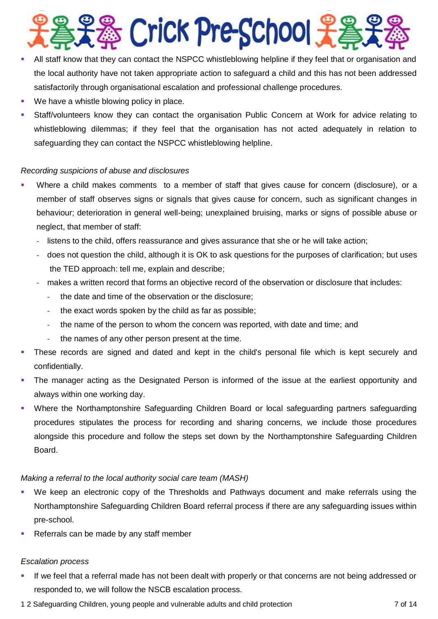

- All staff know that they can contact the NSPCC whistleblowing helpline if they feel that or organisation and the local authority have not taken appropriate action to safeguard a child and this has not been addressed satisfactorily through organisational escalation and professional challenge procedures.
- We have a whistle blowing policy in place.
- Staff/volunteers know they can contact the organisation Public Concern at Work for advice relating to whistleblowing dilemmas; if they feel that the organisation has not acted adequately in relation to safeguarding they can contact the NSPCC whistleblowing helpline.

#### *Recording suspicions of abuse and disclosures*

- Where a child makes comments to a member of staff that gives cause for concern (disclosure), or a member of staff observes signs or signals that gives cause for concern, such as significant changes in behaviour; deterioration in general well-being; unexplained bruising, marks or signs of possible abuse or neglect, that member of staff:
	- **-** listens to the child, offers reassurance and gives assurance that she or he will take action;
	- **-** does not question the child, although it is OK to ask questions for the purposes of clarification; but uses the TED approach: tell me, explain and describe;
	- **-** makes a written record that forms an objective record of the observation or disclosure that includes:
		- **-** the date and time of the observation or the disclosure;
		- **-** the exact words spoken by the child as far as possible;
		- **-** the name of the person to whom the concern was reported, with date and time; and
		- **-** the names of any other person present at the time.
- These records are signed and dated and kept in the child's personal file which is kept securely and confidentially.
- The manager acting as the Designated Person is informed of the issue at the earliest opportunity and always within one working day.
- Where the Northamptonshire Safeguarding Children Board or local safeguarding partners safeguarding procedures stipulates the process for recording and sharing concerns, we include those procedures alongside this procedure and follow the steps set down by the Northamptonshire Safeguarding Children Board.

#### *Making a referral to the local authority social care team (MASH)*

- We keep an electronic copy of the Thresholds and Pathways document and make referrals using the Northamptonshire Safeguarding Children Board referral process if there are any safeguarding issues within pre-school.
- Referrals can be made by any staff member

#### *Escalation process*

- If we feel that a referral made has not been dealt with properly or that concerns are not being addressed or responded to, we will follow the NSCB escalation process.
- 1 2 Safeguarding Children, young people and vulnerable adults and child protection 7 of 14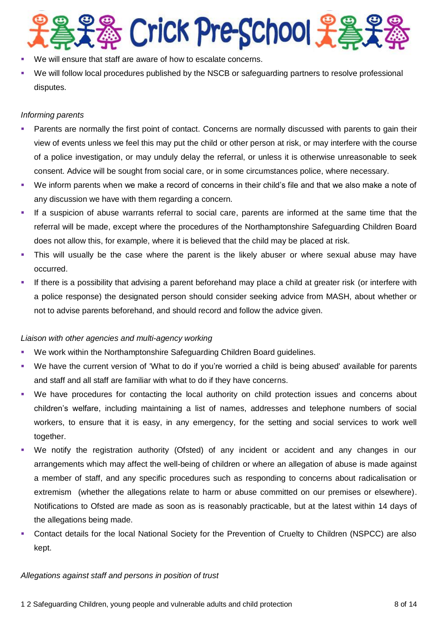# **& Crick Pre-School 子為**

- We will ensure that staff are aware of how to escalate concerns.
- We will follow local procedures published by the NSCB or safeguarding partners to resolve professional disputes.

#### *Informing parents*

- **Parents are normally the first point of contact. Concerns are normally discussed with parents to gain their** view of events unless we feel this may put the child or other person at risk, or may interfere with the course of a police investigation, or may unduly delay the referral, or unless it is otherwise unreasonable to seek consent. Advice will be sought from social care, or in some circumstances police, where necessary.
- We inform parents when we make a record of concerns in their child's file and that we also make a note of any discussion we have with them regarding a concern.
- If a suspicion of abuse warrants referral to social care, parents are informed at the same time that the referral will be made, except where the procedures of the Northamptonshire Safeguarding Children Board does not allow this, for example, where it is believed that the child may be placed at risk.
- This will usually be the case where the parent is the likely abuser or where sexual abuse may have occurred.
- If there is a possibility that advising a parent beforehand may place a child at greater risk (or interfere with a police response) the designated person should consider seeking advice from MASH, about whether or not to advise parents beforehand, and should record and follow the advice given.

#### *Liaison with other agencies and multi-agency working*

- We work within the Northamptonshire Safeguarding Children Board guidelines.
- We have the current version of 'What to do if you're worried a child is being abused' available for parents and staff and all staff are familiar with what to do if they have concerns.
- We have procedures for contacting the local authority on child protection issues and concerns about children's welfare, including maintaining a list of names, addresses and telephone numbers of social workers, to ensure that it is easy, in any emergency, for the setting and social services to work well together.
- We notify the registration authority (Ofsted) of any incident or accident and any changes in our arrangements which may affect the well-being of children or where an allegation of abuse is made against a member of staff, and any specific procedures such as responding to concerns about radicalisation or extremism (whether the allegations relate to harm or abuse committed on our premises or elsewhere). Notifications to Ofsted are made as soon as is reasonably practicable, but at the latest within 14 days of the allegations being made.
- Contact details for the local National Society for the Prevention of Cruelty to Children (NSPCC) are also kept.

#### *Allegations against staff and persons in position of trust*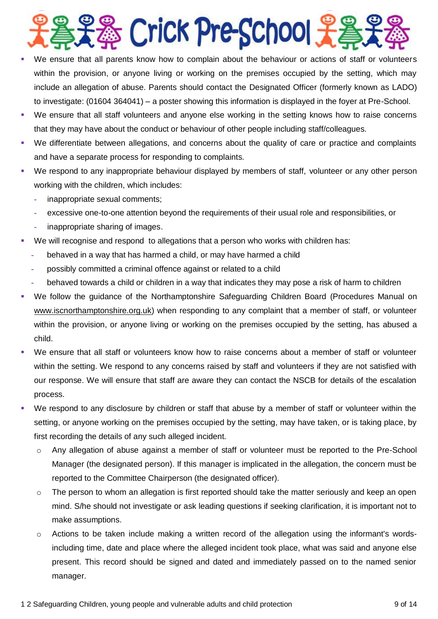

- We ensure that all parents know how to complain about the behaviour or actions of staff or volunteers within the provision, or anyone living or working on the premises occupied by the setting, which may include an allegation of abuse. Parents should contact the Designated Officer (formerly known as LADO) to investigate: (01604 364041) – a poster showing this information is displayed in the foyer at Pre-School.
- We ensure that all staff volunteers and anyone else working in the setting knows how to raise concerns that they may have about the conduct or behaviour of other people including staff/colleagues.
- We differentiate between allegations, and concerns about the quality of care or practice and complaints and have a separate process for responding to complaints.
- We respond to any inappropriate behaviour displayed by members of staff, volunteer or any other person working with the children, which includes:
	- **-** inappropriate sexual comments;
	- **-** excessive one-to-one attention beyond the requirements of their usual role and responsibilities, or
	- **-** inappropriate sharing of images.
- We will recognise and respond to allegations that a person who works with children has:
	- **-** behaved in a way that has harmed a child, or may have harmed a child
	- **-** possibly committed a criminal offence against or related to a child
	- **-** behaved towards a child or children in a way that indicates they may pose a risk of harm to children
- We follow the guidance of the Northamptonshire Safeguarding Children Board (Procedures Manual on [www.iscnorthamptonshire.org.uk\)](http://www.iscnorthamptonshire.org.uk/) when responding to any complaint that a member of staff, or volunteer within the provision, or anyone living or working on the premises occupied by the setting, has abused a child.
- We ensure that all staff or volunteers know how to raise concerns about a member of staff or volunteer within the setting. We respond to any concerns raised by staff and volunteers if they are not satisfied with our response. We will ensure that staff are aware they can contact the NSCB for details of the escalation process.
- We respond to any disclosure by children or staff that abuse by a member of staff or volunteer within the setting, or anyone working on the premises occupied by the setting, may have taken, or is taking place, by first recording the details of any such alleged incident.
	- $\circ$  Any allegation of abuse against a member of staff or volunteer must be reported to the Pre-School Manager (the designated person). If this manager is implicated in the allegation, the concern must be reported to the Committee Chairperson (the designated officer).
	- $\circ$  The person to whom an allegation is first reported should take the matter seriously and keep an open mind. S/he should not investigate or ask leading questions if seeking clarification, it is important not to make assumptions.
	- o Actions to be taken include making a written record of the allegation using the informant's wordsincluding time, date and place where the alleged incident took place, what was said and anyone else present. This record should be signed and dated and immediately passed on to the named senior manager.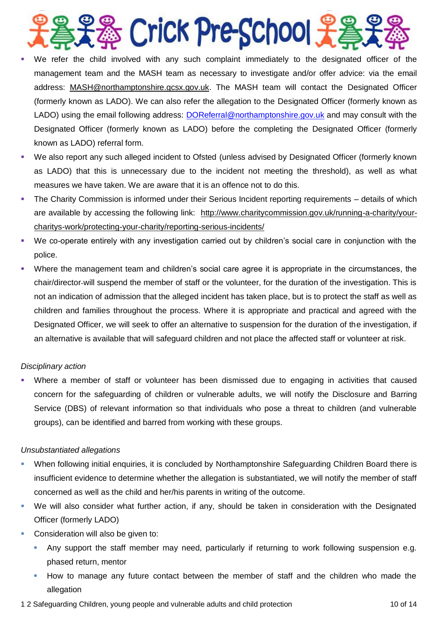## S Crick Pre-School £

- We refer the child involved with any such complaint immediately to the designated officer of the management team and the MASH team as necessary to investigate and/or offer advice: via the email address: [MASH@northamptonshire.gcsx.gov.uk.](mailto:MASH@northamptonshire.gcsx.gov.uk) The MASH team will contact the Designated Officer (formerly known as LADO). We can also refer the allegation to the Designated Officer (formerly known as LADO) using the email following address: [DOReferral@northamptonshire.gov.uk](mailto:DOReferral@northamptonshire.gov.uk) and may consult with the Designated Officer (formerly known as LADO) before the completing the Designated Officer (formerly known as LADO) referral form.
- We also report any such alleged incident to Ofsted (unless advised by Designated Officer (formerly known as LADO) that this is unnecessary due to the incident not meeting the threshold), as well as what measures we have taken. We are aware that it is an offence not to do this.
- The Charity Commission is informed under their Serious Incident reporting requirements details of which are available by accessing the following link: [http://www.charitycommission.gov.uk/running-a-charity/your](http://www.charitycommission.gov.uk/running-a-charity/your-charitys-work/protecting-your-charity/reporting-serious-incidents/)[charitys-work/protecting-your-charity/reporting-serious-incidents/](http://www.charitycommission.gov.uk/running-a-charity/your-charitys-work/protecting-your-charity/reporting-serious-incidents/)
- We co-operate entirely with any investigation carried out by children's social care in conjunction with the police.
- Where the management team and children's social care agree it is appropriate in the circumstances, the chair/director will suspend the member of staff or the volunteer, for the duration of the investigation. This is not an indication of admission that the alleged incident has taken place, but is to protect the staff as well as children and families throughout the process. Where it is appropriate and practical and agreed with the Designated Officer, we will seek to offer an alternative to suspension for the duration of the investigation, if an alternative is available that will safeguard children and not place the affected staff or volunteer at risk.

#### *Disciplinary action*

 Where a member of staff or volunteer has been dismissed due to engaging in activities that caused concern for the safeguarding of children or vulnerable adults, we will notify the Disclosure and Barring Service (DBS) of relevant information so that individuals who pose a threat to children (and vulnerable groups), can be identified and barred from working with these groups.

#### *Unsubstantiated allegations*

- When following initial enquiries, it is concluded by Northamptonshire Safeguarding Children Board there is insufficient evidence to determine whether the allegation is substantiated, we will notify the member of staff concerned as well as the child and her/his parents in writing of the outcome.
- We will also consider what further action, if any, should be taken in consideration with the Designated Officer (formerly LADO)
- Consideration will also be given to:
	- Any support the staff member may need, particularly if returning to work following suspension e.g. phased return, mentor
	- How to manage any future contact between the member of staff and the children who made the allegation
- 1 2 Safeguarding Children, young people and vulnerable adults and child protection 10 of 14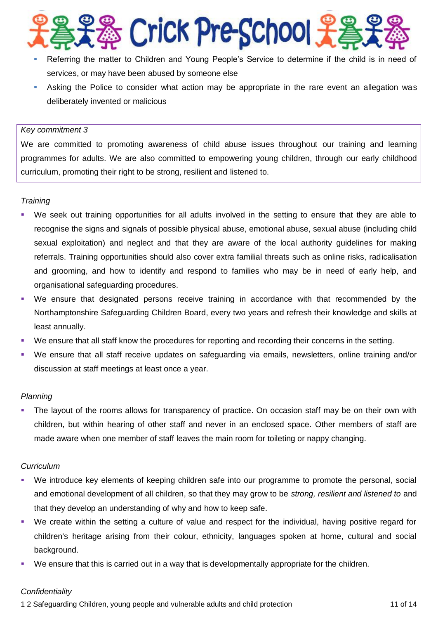

- Referring the matter to Children and Young People's Service to determine if the child is in need of services, or may have been abused by someone else
- Asking the Police to consider what action may be appropriate in the rare event an allegation was deliberately invented or malicious

#### *Key commitment 3*

We are committed to promoting awareness of child abuse issues throughout our training and learning programmes for adults. We are also committed to empowering young children, through our early childhood curriculum, promoting their right to be strong, resilient and listened to.

#### *Training*

- We seek out training opportunities for all adults involved in the setting to ensure that they are able to recognise the signs and signals of possible physical abuse, emotional abuse, sexual abuse (including child sexual exploitation) and neglect and that they are aware of the local authority guidelines for making referrals. Training opportunities should also cover extra familial threats such as online risks, radicalisation and grooming, and how to identify and respond to families who may be in need of early help, and organisational safeguarding procedures.
- We ensure that designated persons receive training in accordance with that recommended by the Northamptonshire Safeguarding Children Board, every two years and refresh their knowledge and skills at least annually.
- We ensure that all staff know the procedures for reporting and recording their concerns in the setting.
- We ensure that all staff receive updates on safeguarding via emails, newsletters, online training and/or discussion at staff meetings at least once a year.

#### *Planning*

 The layout of the rooms allows for transparency of practice. On occasion staff may be on their own with children, but within hearing of other staff and never in an enclosed space. Other members of staff are made aware when one member of staff leaves the main room for toileting or nappy changing.

#### *Curriculum*

- We introduce key elements of keeping children safe into our programme to promote the personal, social and emotional development of all children, so that they may grow to be *strong, resilient and listened to* and that they develop an understanding of why and how to keep safe.
- We create within the setting a culture of value and respect for the individual, having positive regard for children's heritage arising from their colour, ethnicity, languages spoken at home, cultural and social background.
- We ensure that this is carried out in a way that is developmentally appropriate for the children.

#### *Confidentiality*

1 2 Safeguarding Children, young people and vulnerable adults and child protection 11 of 14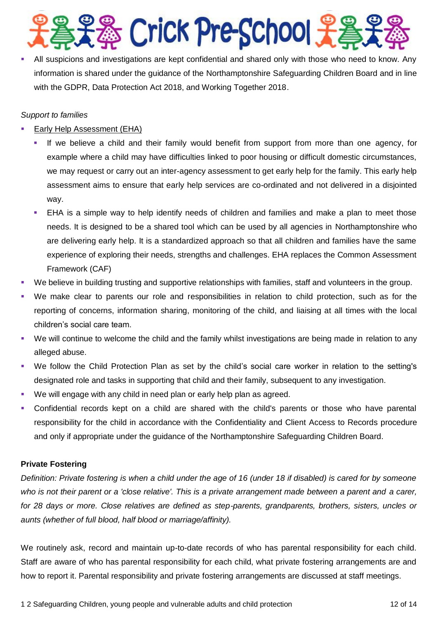& Crick Pre-School £

 All suspicions and investigations are kept confidential and shared only with those who need to know. Any information is shared under the guidance of the Northamptonshire Safeguarding Children Board and in line with the GDPR, Data Protection Act 2018, and Working Together 2018.

#### *Support to families*

- Early Help Assessment (EHA)
	- If we believe a child and their family would benefit from support from more than one agency, for example where a child may have difficulties linked to poor housing or difficult domestic circumstances, we may request or carry out an inter-agency assessment to get early help for the family. This early help assessment aims to ensure that early help services are co-ordinated and not delivered in a disjointed way.
	- EHA is a simple way to help identify needs of children and families and make a plan to meet those needs. It is designed to be a shared tool which can be used by all agencies in Northamptonshire who are delivering early help. It is a standardized approach so that all children and families have the same experience of exploring their needs, strengths and challenges. EHA replaces the Common Assessment Framework (CAF)
- We believe in building trusting and supportive relationships with families, staff and volunteers in the group.
- We make clear to parents our role and responsibilities in relation to child protection, such as for the reporting of concerns, information sharing, monitoring of the child, and liaising at all times with the local children's social care team.
- We will continue to welcome the child and the family whilst investigations are being made in relation to any alleged abuse.
- We follow the Child Protection Plan as set by the child's social care worker in relation to the setting's designated role and tasks in supporting that child and their family, subsequent to any investigation.
- We will engage with any child in need plan or early help plan as agreed.
- Confidential records kept on a child are shared with the child's parents or those who have parental responsibility for the child in accordance with the Confidentiality and Client Access to Records procedure and only if appropriate under the guidance of the Northamptonshire Safeguarding Children Board.

#### **Private Fostering**

*Definition: Private fostering is when a child under the age of 16 (under 18 if disabled) is cared for by someone who is not their parent or a 'close relative'. This is a private arrangement made between a parent and a carer, for 28 days or more. Close relatives are defined as step-parents, grandparents, brothers, sisters, uncles or aunts (whether of full blood, half blood or marriage/affinity).*

We routinely ask, record and maintain up-to-date records of who has parental responsibility for each child. Staff are aware of who has parental responsibility for each child, what private fostering arrangements are and how to report it. Parental responsibility and private fostering arrangements are discussed at staff meetings.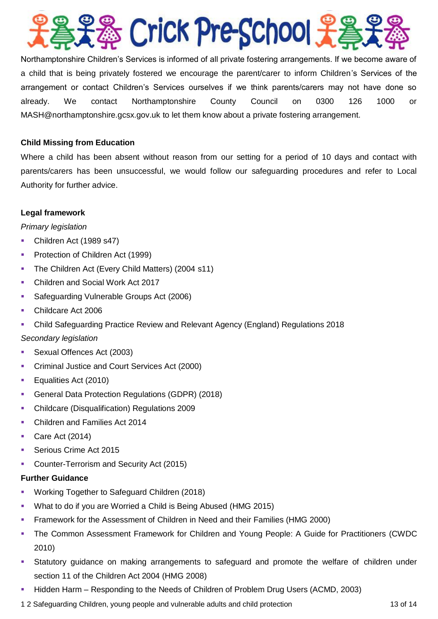

Northamptonshire Children's Services is informed of all private fostering arrangements. If we become aware of a child that is being privately fostered we encourage the parent/carer to inform Children's Services of the arrangement or contact Children's Services ourselves if we think parents/carers may not have done so already. We contact Northamptonshire County Council on 0300 126 1000 or [MASH@northamptonshire.gcsx.gov.uk](http://MASH@northamptonshire.gcsx.gov.uk/) to let them know about a private fostering arrangement.

#### **Child Missing from Education**

Where a child has been absent without reason from our setting for a period of 10 days and contact with parents/carers has been unsuccessful, we would follow our safeguarding procedures and refer to Local Authority for further advice.

#### **Legal framework**

#### *Primary legislation*

- Children Act (1989 s47)
- **Protection of Children Act (1999)**
- **The Children Act (Every Child Matters) (2004 s11)**
- Children and Social Work Act 2017
- **Safeguarding Vulnerable Groups Act (2006)**
- Childcare Act 2006
- Child Safeguarding Practice Review and Relevant Agency (England) Regulations 2018

#### *Secondary legislation*

- Sexual Offences Act (2003)
- **Criminal Justice and Court Services Act (2000)**
- **Equalities Act (2010)**
- General Data Protection Regulations (GDPR) (2018)
- Childcare (Disqualification) Regulations 2009
- **Children and Families Act 2014**
- Care Act  $(2014)$
- Serious Crime Act 2015
- **Counter-Terrorism and Security Act (2015)**

#### **Further Guidance**

- **Working Together to Safeguard Children (2018)**
- What to do if you are Worried a Child is Being Abused (HMG 2015)
- Framework for the Assessment of Children in Need and their Families (HMG 2000)
- The Common Assessment Framework for Children and Young People: A Guide for Practitioners (CWDC 2010)
- Statutory guidance on making arrangements to safeguard and promote the welfare of children under section 11 of the Children Act 2004 (HMG 2008)
- Hidden Harm Responding to the Needs of Children of Problem Drug Users (ACMD, 2003)
- 1 2 Safeguarding Children, young people and vulnerable adults and child protection 13 of 14